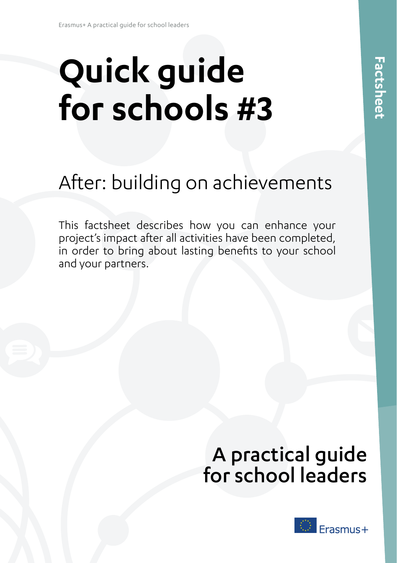# **Quick guide** for schools #3

## $\mathbf{y}$  projection is impact after a large been after a large been after a large been after a large been after a large between  $\mathbf{y}$ After: building on achievements to your school and your partners.

This factsheet describes how you can enhance your project's impact after all activities have been completed, in order to bring about lasting benefits to your school and your partners.

# A practical guide for school leaders

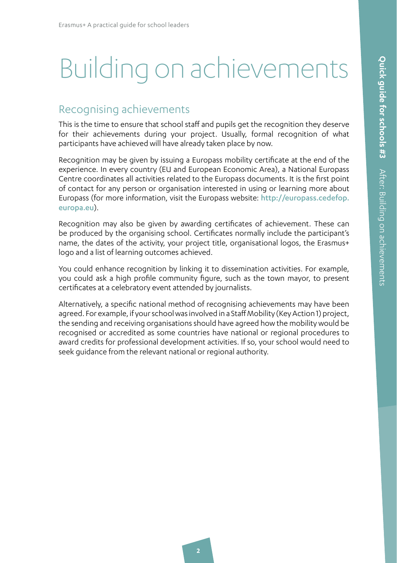# Building on achievements

### Recognising achievements

This is the time to ensure that school staff and pupils get the recognition they deserve for their achievements during your project. Usually, formal recognition of what participants have achieved will have already taken place by now.

Recognition may be given by issuing a Europass mobility certificate at the end of the experience. In every country (EU and European Economic Area), a National Europass Centre coordinates all activities related to the Europass documents. It is the first point of contact for any person or organisation interested in using or learning more about Europass (for more information, visit the Europass website: [http://europass.cedefop.](http://europass.cedefop.europa.eu) [europa.eu](http://europass.cedefop.europa.eu)).

Recognition may also be given by awarding certificates of achievement. These can be produced by the organising school. Certificates normally include the participant's name, the dates of the activity, your project title, organisational logos, the Erasmus+ logo and a list of learning outcomes achieved.

You could enhance recognition by linking it to dissemination activities. For example, you could ask a high profile community figure, such as the town mayor, to present certificates at a celebratory event attended by journalists.

Alternatively, a specific national method of recognising achievements may have been agreed. For example, if your school was involved in a Staff Mobility (Key Action 1) project, the sending and receiving organisations should have agreed how the mobility would be recognised or accredited as some countries have national or regional procedures to award credits for professional development activities. If so, your school would need to seek guidance from the relevant national or regional authority.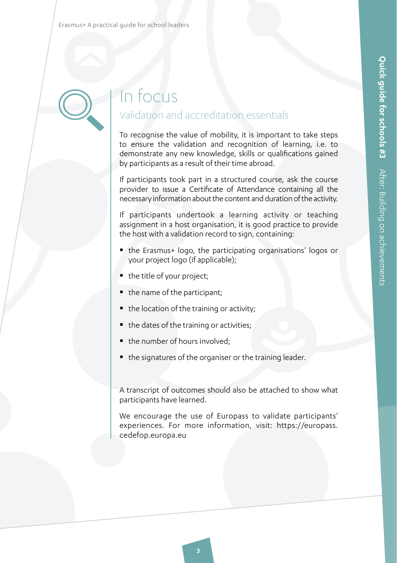

# In focus Validation and accreditation essentials

To recognise the value of mobility, it is important to take steps to ensure the validation and recognition of learning, i.e. to demonstrate any new knowledge, skills or qualifications gained by participants as a result of their time abroad.

If participants took part in a structured course, ask the course provider to issue a Certificate of Attendance containing all the necessary information about the content and duration of the activity.

If participants undertook a learning activity or teaching assignment in a host organisation, it is good practice to provide the host with a validation record to sign, containing:

- the Erasmus+ logo, the participating organisations' logos or your project logo (if applicable);
- the title of your project;
- $\blacksquare$  the name of the participant;
- $\blacksquare$  the location of the training or activity;
- $\blacksquare$  the dates of the training or activities;
- the number of hours involved;
- the signatures of the organiser or the training leader.

A transcript of outcomes should also be attached to show what participants have learned.

We encourage the use of Europass to validate participants' experiences. For more information, visit: [https://europass.](https://europass.cedefop.europa.eu) [cedefop.europa.eu](https://europass.cedefop.europa.eu)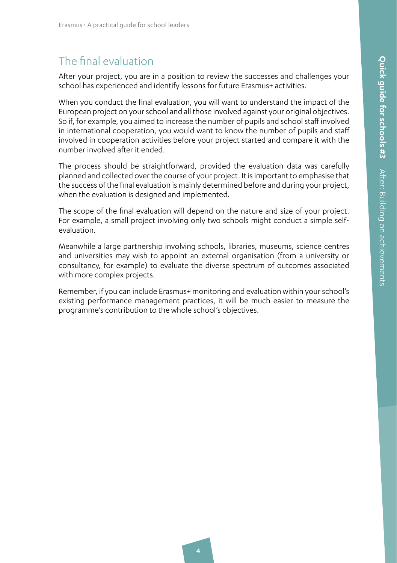# The final evaluation

After your project, you are in a position to review the successes and challenges your school has experienced and identify lessons for future Erasmus+ activities.

When you conduct the final evaluation, you will want to understand the impact of the European project on your school and all those involved against your original objectives. So if, for example, you aimed to increase the number of pupils and school staff involved in international cooperation, you would want to know the number of pupils and staff involved in cooperation activities before your project started and compare it with the number involved after it ended.

The process should be straightforward, provided the evaluation data was carefully planned and collected over the course of your project. It is important to emphasise that the success of the final evaluation is mainly determined before and during your project, when the evaluation is designed and implemented.

The scope of the final evaluation will depend on the nature and size of your project. For example, a small project involving only two schools might conduct a simple selfevaluation.

Meanwhile a large partnership involving schools, libraries, museums, science centres and universities may wish to appoint an external organisation (from a university or consultancy, for example) to evaluate the diverse spectrum of outcomes associated with more complex projects.

Remember, if you can include Erasmus+ monitoring and evaluation within your school's existing performance management practices, it will be much easier to measure the programme's contribution to the whole school's objectives.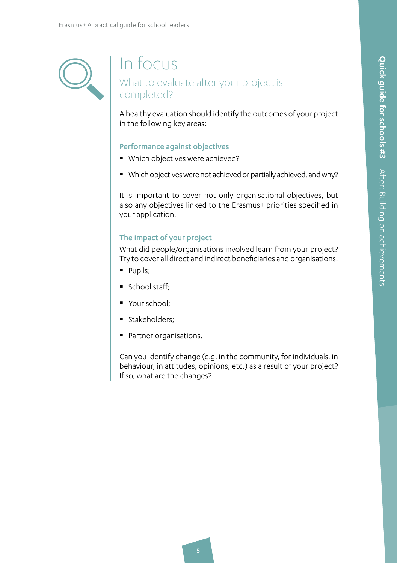# In focus What to evaluate after your project is completed?

A healthy evaluation should identify the outcomes of your project in the following key areas:

### Performance against objectives

- Which objectives were achieved?
- Which objectives were not achieved or partially achieved, and why?

It is important to cover not only organisational objectives, but also any objectives linked to the Erasmus+ priorities specified in your application.

### The impact of your project

What did people/organisations involved learn from your project? Try to cover all direct and indirect beneficiaries and organisations:

- **Pupils**;
- $\blacksquare$  School staff:
- Your school;
- Stakeholders;
- Partner organisations.

Can you identify change (e.g. in the community, for individuals, in behaviour, in attitudes, opinions, etc.) as a result of your project? If so, what are the changes?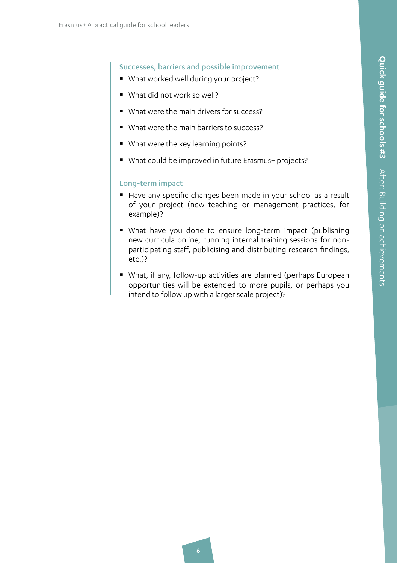### Successes, barriers and possible improvement

- What worked well during your project?
- What did not work so well?
- What were the main drivers for success?
- What were the main barriers to success?
- What were the key learning points?
- What could be improved in future Erasmus+ projects?

### Long-term impact

- Have any specific changes been made in your school as a result of your project (new teaching or management practices, for example)?
- What have you done to ensure long-term impact (publishing new curricula online, running internal training sessions for nonparticipating staff, publicising and distributing research findings, etc.)?
- What, if any, follow-up activities are planned (perhaps European opportunities will be extended to more pupils, or perhaps you intend to follow up with a larger scale project)?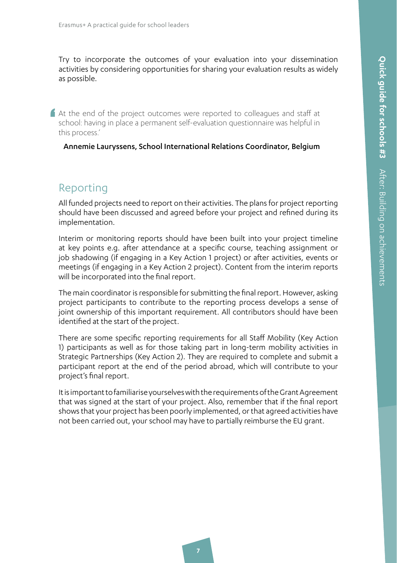Try to incorporate the outcomes of your evaluation into your dissemination activities by considering opportunities for sharing your evaluation results as widely as possible.

At the end of the project outcomes were reported to colleagues and staff at school: having in place a permanent self-evaluation questionnaire was helpful in this process.'

Annemie Lauryssens, School International Relations Coordinator, Belgium

# **Reporting**

'

All funded projects need to report on their activities. The plans for project reporting should have been discussed and agreed before your project and refined during its implementation.

Interim or monitoring reports should have been built into your project timeline at key points e.g. after attendance at a specific course, teaching assignment or job shadowing (if engaging in a Key Action 1 project) or after activities, events or meetings (if engaging in a Key Action 2 project). Content from the interim reports will be incorporated into the final report.

The main coordinator is responsible for submitting the final report. However, asking project participants to contribute to the reporting process develops a sense of joint ownership of this important requirement. All contributors should have been identified at the start of the project.

There are some specific reporting requirements for all Staff Mobility (Key Action 1) participants as well as for those taking part in long-term mobility activities in Strategic Partnerships (Key Action 2). They are required to complete and submit a participant report at the end of the period abroad, which will contribute to your project's final report.

It is important to familiarise yourselves with the requirements of the Grant Agreement that was signed at the start of your project. Also, remember that if the final report shows that your project has been poorly implemented, or that agreed activities have not been carried out, your school may have to partially reimburse the EU grant.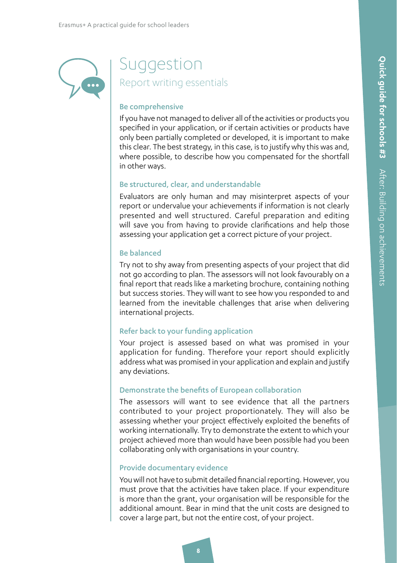

# Suggestion Report writing essentials

#### Be comprehensive

If you have not managed to deliver all of the activities or products you specified in your application, or if certain activities or products have only been partially completed or developed, it is important to make this clear. The best strategy, in this case, is to justify why this was and, where possible, to describe how you compensated for the shortfall in other ways.

### Be structured, clear, and understandable

Evaluators are only human and may misinterpret aspects of your report or undervalue your achievements if information is not clearly presented and well structured. Careful preparation and editing will save you from having to provide clarifications and help those assessing your application get a correct picture of your project.

### Be balanced

Try not to shy away from presenting aspects of your project that did not go according to plan. The assessors will not look favourably on a final report that reads like a marketing brochure, containing nothing but success stories. They will want to see how you responded to and learned from the inevitable challenges that arise when delivering international projects.

### Refer back to your funding application

Your project is assessed based on what was promised in your application for funding. Therefore your report should explicitly address what was promised in your application and explain and justify any deviations.

### Demonstrate the benefits of European collaboration

The assessors will want to see evidence that all the partners contributed to your project proportionately. They will also be assessing whether your project effectively exploited the benefits of working internationally. Try to demonstrate the extent to which your project achieved more than would have been possible had you been collaborating only with organisations in your country.

### Provide documentary evidence

You will not have to submit detailed financial reporting. However, you must prove that the activities have taken place. If your expenditure is more than the grant, your organisation will be responsible for the additional amount. Bear in mind that the unit costs are designed to cover a large part, but not the entire cost, of your project.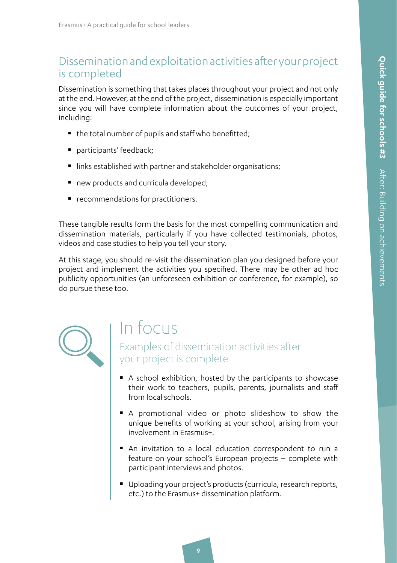## 2.3.4 Dissemination and exploitation activities after your project is completed

Dissemination is something that takes places throughout your project and not only at the end. However, at the end of the project, dissemination is especially important since you will have complete information about the outcomes of your project, including:

- the total number of pupils and staff who benefitted:
- participants' feedback;
- links established with partner and stakeholder organisations;
- new products and curricula developed;
- **•** recommendations for practitioners.

These tangible results form the basis for the most compelling communication and dissemination materials, particularly if you have collected testimonials, photos, videos and case studies to help you tell your story.

At this stage, you should re-visit the dissemination plan you designed before your project and implement the activities you specified. There may be other ad hoc publicity opportunities (an unforeseen exhibition or conference, for example), so do pursue these too.



# In focus

Examples of dissemination activities after your project is complete

- A school exhibition, hosted by the participants to showcase their work to teachers, pupils, parents, journalists and staff from local schools.
- A promotional video or photo slideshow to show the unique benefits of working at your school, arising from your involvement in Erasmus+.
- An invitation to a local education correspondent to run a feature on your school's European projects – complete with participant interviews and photos.
- Uploading your project's products (curricula, research reports, etc.) to the Erasmus+ dissemination platform.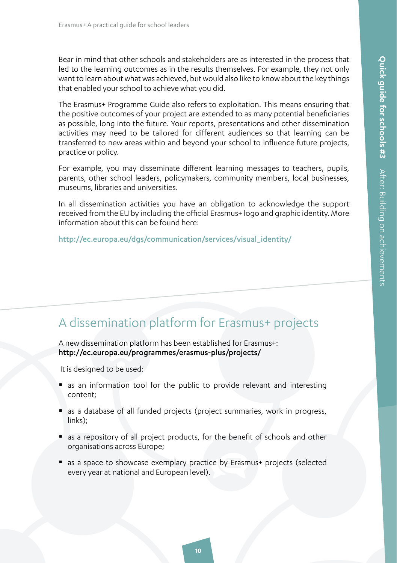Bear in mind that other schools and stakeholders are as interested in the process that led to the learning outcomes as in the results themselves. For example, they not only want to learn about what was achieved, but would also like to know about the key things that enabled your school to achieve what you did.

The Erasmus+ Programme Guide also refers to exploitation. This means ensuring that the positive outcomes of your project are extended to as many potential beneficiaries as possible, long into the future. Your reports, presentations and other dissemination activities may need to be tailored for different audiences so that learning can be transferred to new areas within and beyond your school to influence future projects, practice or policy.

For example, you may disseminate different learning messages to teachers, pupils, parents, other school leaders, policymakers, community members, local businesses, museums, libraries and universities.

In all dissemination activities you have an obligation to acknowledge the support received from the EU by including the official Erasmus+ logo and graphic identity. More information about this can be found here:

[http://ec.europa.eu/dgs/communication/services/visual\\_identity/](http://ec.europa.eu/dgs/communication/services/visual_identity/pdf/use-emblem_en.pdf)

# A dissemination platform for Erasmus+ projects

A new dissemination platform has been established for Erasmus+: http://ec.europa.eu/programmes/erasmus-plus/projects/

It is designed to be used:

- **as an information tool for the public to provide relevant and interesting** content;
- as a database of all funded projects (project summaries, work in progress, links);
- as a repository of all project products, for the benefit of schools and other organisations across Europe;
- as a space to showcase exemplary practice by Erasmus+ projects (selected every year at national and European level).